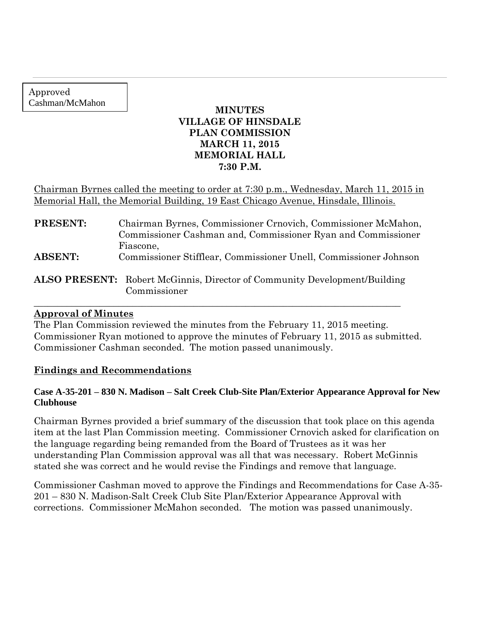Approved Cashman/McMahon

## **MINUTES VILLAGE OF HINSDALE PLAN COMMISSION MARCH 11, 2015 MEMORIAL HALL 7:30 P.M.**

Chairman Byrnes called the meeting to order at 7:30 p.m., Wednesday, March 11, 2015 in Memorial Hall, the Memorial Building, 19 East Chicago Avenue, Hinsdale, Illinois.

| <b>PRESENT:</b> | Chairman Byrnes, Commissioner Crnovich, Commissioner McMahon,<br>Commissioner Cashman and, Commissioner Ryan and Commissioner |
|-----------------|-------------------------------------------------------------------------------------------------------------------------------|
| <b>ABSENT:</b>  | Fiascone,<br>Commissioner Stifflear, Commissioner Unell, Commissioner Johnson                                                 |
|                 | <b>ALSO PRESENT:</b> Robert McGinnis, Director of Community Development/Building<br>Commissioner                              |

#### **Approval of Minutes**

The Plan Commission reviewed the minutes from the February 11, 2015 meeting. Commissioner Ryan motioned to approve the minutes of February 11, 2015 as submitted. Commissioner Cashman seconded. The motion passed unanimously.

 $\_$  , and the set of the set of the set of the set of the set of the set of the set of the set of the set of the set of the set of the set of the set of the set of the set of the set of the set of the set of the set of th

## **Findings and Recommendations**

#### **Case A-35-201 – 830 N. Madison – Salt Creek Club-Site Plan/Exterior Appearance Approval for New Clubhouse**

Chairman Byrnes provided a brief summary of the discussion that took place on this agenda item at the last Plan Commission meeting. Commissioner Crnovich asked for clarification on the language regarding being remanded from the Board of Trustees as it was her understanding Plan Commission approval was all that was necessary. Robert McGinnis stated she was correct and he would revise the Findings and remove that language.

Commissioner Cashman moved to approve the Findings and Recommendations for Case A-35- 201 – 830 N. Madison-Salt Creek Club Site Plan/Exterior Appearance Approval with corrections. Commissioner McMahon seconded. The motion was passed unanimously.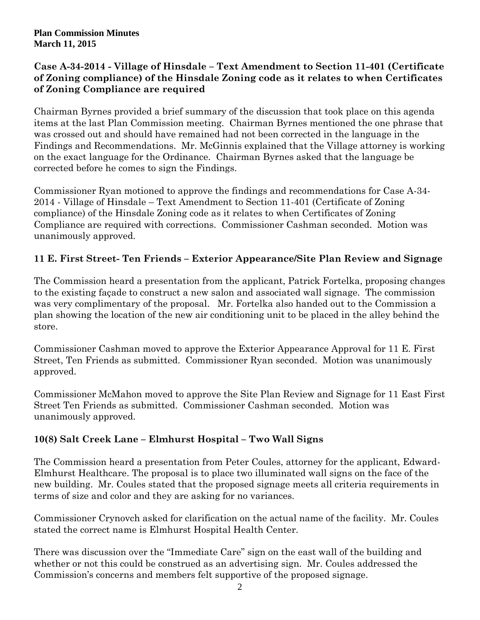## **Case A-34-2014 - Village of Hinsdale – Text Amendment to Section 11-401 (Certificate of Zoning compliance) of the Hinsdale Zoning code as it relates to when Certificates of Zoning Compliance are required**

Chairman Byrnes provided a brief summary of the discussion that took place on this agenda items at the last Plan Commission meeting. Chairman Byrnes mentioned the one phrase that was crossed out and should have remained had not been corrected in the language in the Findings and Recommendations. Mr. McGinnis explained that the Village attorney is working on the exact language for the Ordinance. Chairman Byrnes asked that the language be corrected before he comes to sign the Findings.

Commissioner Ryan motioned to approve the findings and recommendations for Case A-34- 2014 - Village of Hinsdale – Text Amendment to Section 11-401 (Certificate of Zoning compliance) of the Hinsdale Zoning code as it relates to when Certificates of Zoning Compliance are required with corrections. Commissioner Cashman seconded. Motion was unanimously approved.

# **11 E. First Street- Ten Friends – Exterior Appearance/Site Plan Review and Signage**

The Commission heard a presentation from the applicant, Patrick Fortelka, proposing changes to the existing façade to construct a new salon and associated wall signage. The commission was very complimentary of the proposal. Mr. Fortelka also handed out to the Commission a plan showing the location of the new air conditioning unit to be placed in the alley behind the store.

Commissioner Cashman moved to approve the Exterior Appearance Approval for 11 E. First Street, Ten Friends as submitted. Commissioner Ryan seconded. Motion was unanimously approved.

Commissioner McMahon moved to approve the Site Plan Review and Signage for 11 East First Street Ten Friends as submitted. Commissioner Cashman seconded. Motion was unanimously approved.

# **10(8) Salt Creek Lane – Elmhurst Hospital – Two Wall Signs**

The Commission heard a presentation from Peter Coules, attorney for the applicant, Edward-Elmhurst Healthcare. The proposal is to place two illuminated wall signs on the face of the new building. Mr. Coules stated that the proposed signage meets all criteria requirements in terms of size and color and they are asking for no variances.

Commissioner Crynovch asked for clarification on the actual name of the facility. Mr. Coules stated the correct name is Elmhurst Hospital Health Center.

There was discussion over the "Immediate Care" sign on the east wall of the building and whether or not this could be construed as an advertising sign. Mr. Coules addressed the Commission's concerns and members felt supportive of the proposed signage.